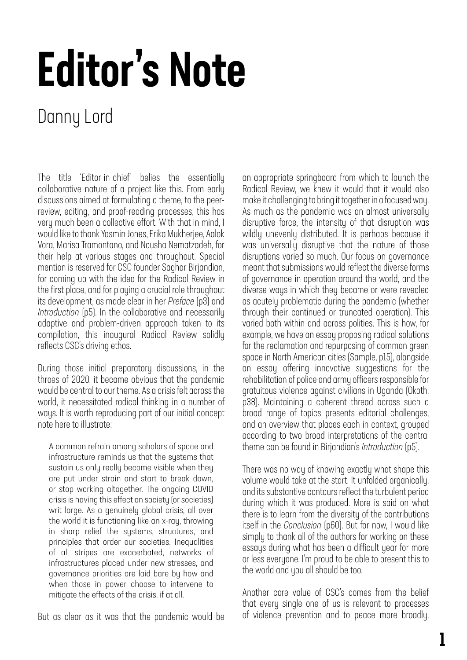## Editor's Note

## Danny Lord

The title 'Editor-in-chief' belies the essentially collaborative nature of a project like this. From early discussions aimed at formulating a theme, to the peerreview, editing, and proof-reading processes, this has very much been a collective effort. With that in mind, I would like to thank Yasmin Jones, Erika Mukherjee, Aalok Vora, Marisa Tramontano, and Nousha Nematzadeh, for their help at various stages and throughout. Special mention is reserved for CSC founder Saghar Birjandian, for coming up with the idea for the Radical Review in the first place, and for playing a crucial role throughout its development, as made clear in her *Preface* (p3) and *Introduction* (p5). In the collaborative and necessarily adaptive and problem-driven approach taken to its compilation, this inaugural Radical Review solidly reflects CSC's driving ethos.

During those initial preparatory discussions, in the throes of 2020, it became obvious that the pandemic would be central to our theme. As a crisis felt across the world, it necessitated radical thinking in a number of ways. It is worth reproducing part of our initial concept note here to illustrate:

A common refrain among scholars of space and infrastructure reminds us that the systems that sustain us only really become visible when they are put under strain and start to break down, or stop working altogether. The ongoing COVID crisis is having this effect on society (or societies) writ large. As a genuinely global crisis, all over the world it is functioning like an x-ray, throwing in sharp relief the systems, structures, and principles that order our societies. Inequalities of all stripes are exacerbated, networks of infrastructures placed under new stresses, and governance priorities are laid bare by how and when those in power choose to intervene to mitigate the effects of the crisis, if at all.

But as clear as it was that the pandemic would be

an appropriate springboard from which to launch the Radical Review, we knew it would that it would also make it challenging to bring it together in a focused way. As much as the pandemic was an almost universally disruptive force, the intensity of that disruption was wildly unevenly distributed. It is perhaps because it was universally disruptive that the nature of those disruptions varied so much. Our focus on governance meant that submissions would reflect the diverse forms of governance in operation around the world, and the diverse ways in which they became or were revealed as acutely problematic during the pandemic (whether through their continued or truncated operation). This varied both within and across polities. This is how, for example, we have an essay proposing radical solutions for the reclamation and repurposing of common green space in North American cities (Sample, p15), alongside an essay offering innovative suggestions for the rehabilitation of police and army officers responsible for gratuitous violence against civilians in Uganda (Okoth, p38). Maintaining a coherent thread across such a broad range of topics presents editorial challenges, and an overview that places each in context, grouped according to two broad interpretations of the central theme can be found in Birjandian's *Introduction* (p5).

There was no way of knowing exactly what shape this volume would take at the start. It unfolded organically, and its substantive contours reflect the turbulent period during which it was produced. More is said on what there is to learn from the diversity of the contributions itself in the *Conclusion* (p60). But for now, I would like simply to thank all of the authors for working on these essays during what has been a difficult year for more or less everyone. I'm proud to be able to present this to the world and you all should be too.

Another core value of CSC's comes from the belief that every single one of us is relevant to processes of violence prevention and to peace more broadly.